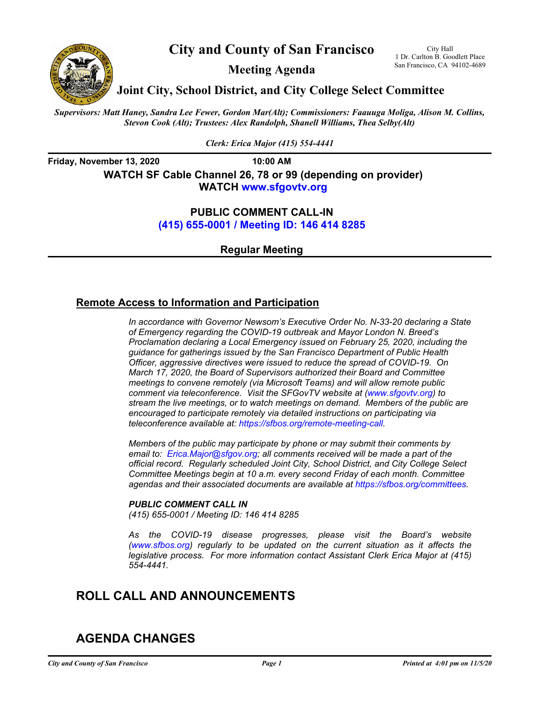

**City and County of San Francisco**

**Meeting Agenda**

City Hall 1 Dr. Carlton B. Goodlett Place San Francisco, CA 94102-4689

**Joint City, School District, and City College Select Committee**

*Supervisors: Matt Haney, Sandra Lee Fewer, Gordon Mar(Alt); Commissioners: Faauuga Moliga, Alison M. Collins, Stevon Cook (Alt); Trustees: Alex Randolph, Shanell Williams, Thea Selby(Alt)*

*Clerk: Erica Major (415) 554-4441*

**Friday, November 13, 2020 10:00 AM WATCH SF Cable Channel 26, 78 or 99 (depending on provider) WATC[H www.sfgovtv.org](www.sfgovtv.org)**

### **PUBLIC COMMENT CALL-IN [\(415\) 655-0001 / Meeting ID: 146 414 8285](tel:+14156550001,,1464148285#,,#)**

**Regular Meeting**

## **Remote Access to Information and Participation**

*In accordance with Governor Newsom's Executive Order No. N-33-20 declaring a State of Emergency regarding the COVID-19 outbreak and Mayor London N. Breed's Proclamation declaring a Local Emergency issued on February 25, 2020, including the guidance for gatherings issued by the San Francisco Department of Public Health Officer, aggressive directives were issued to reduce the spread of COVID-19. On March 17, 2020, the Board of Supervisors authorized their Board and Committee meetings to convene remotely (via Microsoft Teams) and will allow remote public comment via teleconference. Visit the SFGovTV website [at \(www.sfgovtv.org\) t](www.sfgovtv.org)o stream the live meetings, or to watch meetings on demand. Members of the public are encouraged to participate remotely via detailed instructions on participating via teleconference available at: [https://sfbos.org/remote-meeting-call.](https://sfbos.org/remote-meeting-call)* 

*Members of the public may participate by phone or may submit their comments by email t[o: Erica.Major@sfgov.org; a](https://sfbos.org/remote-meeting-call)ll comments received will be made a part of the official record. Regularly scheduled Joint City, School District, and City College Select Committee Meetings begin at 10 a.m. every second Friday of each month. Committee agendas and their associated documents are available a[t https://sfbos.org/committees.](https://sfbos.org/committees)* 

### *PUBLIC COMMENT CALL IN*

*[\(415\) 655-0001 / Meeting ID: 146 414 8285](tel:+14156550001,,1464148285#,,#)*

*As the COVID-19 disease progresses, please visit the Board's website [\(www.sfbos.org\)](www.sfbos.org) regularly to be updated on the current situation as it affects the legislative process. For more information contact Assistant Clerk Erica Major at (415) 554-4441.*

# **ROLL CALL AND ANNOUNCEMENTS**

# **AGENDA CHANGES**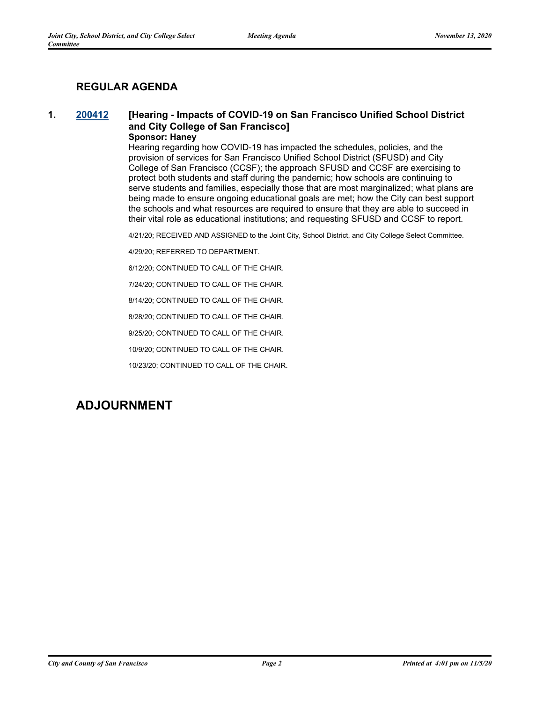### **REGULAR AGENDA**

#### **1. [200412](http://sfgov.legistar.com/gateway.aspx?m=l&id=35848) [Hearing - Impacts of COVID-19 on San Francisco Unified School District and City College of San Francisco] Sponsor: Haney**

#### Hearing regarding how COVID-19 has impacted the schedules, policies, and the provision of services for San Francisco Unified School District (SFUSD) and City College of San Francisco (CCSF); the approach SFUSD and CCSF are exercising to protect both students and staff during the pandemic; how schools are continuing to serve students and families, especially those that are most marginalized; what plans are being made to ensure ongoing educational goals are met; how the City can best support the schools and what resources are required to ensure that they are able to succeed in their vital role as educational institutions; and requesting SFUSD and CCSF to report.

4/21/20; RECEIVED AND ASSIGNED to the Joint City, School District, and City College Select Committee.

4/29/20; REFERRED TO DEPARTMENT.

6/12/20; CONTINUED TO CALL OF THE CHAIR.

7/24/20; CONTINUED TO CALL OF THE CHAIR.

8/14/20; CONTINUED TO CALL OF THE CHAIR.

8/28/20; CONTINUED TO CALL OF THE CHAIR.

9/25/20; CONTINUED TO CALL OF THE CHAIR.

10/9/20; CONTINUED TO CALL OF THE CHAIR.

10/23/20; CONTINUED TO CALL OF THE CHAIR.

## **ADJOURNMENT**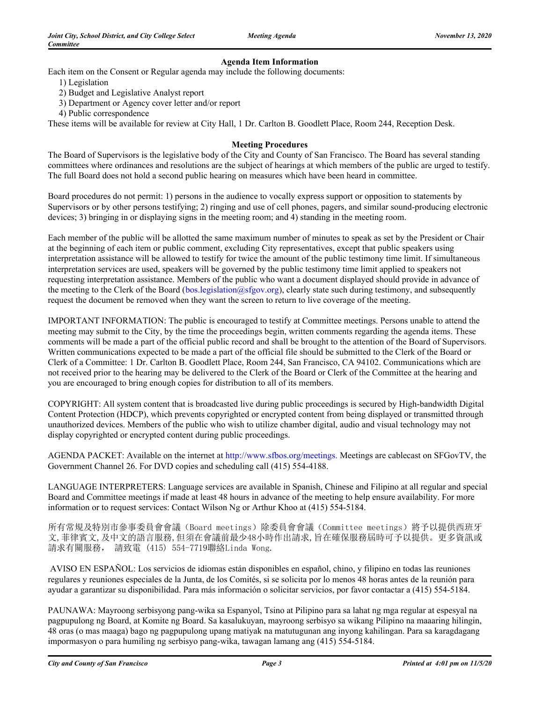#### **Agenda Item Information**

Each item on the Consent or Regular agenda may include the following documents:

- 1) Legislation
- 2) Budget and Legislative Analyst report
- 3) Department or Agency cover letter and/or report
- 4) Public correspondence

These items will be available for review at City Hall, 1 Dr. Carlton B. Goodlett Place, Room 244, Reception Desk.

#### **Meeting Procedures**

The Board of Supervisors is the legislative body of the City and County of San Francisco. The Board has several standing committees where ordinances and resolutions are the subject of hearings at which members of the public are urged to testify. The full Board does not hold a second public hearing on measures which have been heard in committee.

Board procedures do not permit: 1) persons in the audience to vocally express support or opposition to statements by Supervisors or by other persons testifying; 2) ringing and use of cell phones, pagers, and similar sound-producing electronic devices; 3) bringing in or displaying signs in the meeting room; and 4) standing in the meeting room.

Each member of the public will be allotted the same maximum number of minutes to speak as set by the President or Chair at the beginning of each item or public comment, excluding City representatives, except that public speakers using interpretation assistance will be allowed to testify for twice the amount of the public testimony time limit. If simultaneous interpretation services are used, speakers will be governed by the public testimony time limit applied to speakers not requesting interpretation assistance. Members of the public who want a document displayed should provide in advance of the meeting to the Clerk of the Board (bos.legislation@sfgov.org), clearly state such during testimony, and subsequently request the document be removed when they want the screen to return to live coverage of the meeting.

IMPORTANT INFORMATION: The public is encouraged to testify at Committee meetings. Persons unable to attend the meeting may submit to the City, by the time the proceedings begin, written comments regarding the agenda items. These comments will be made a part of the official public record and shall be brought to the attention of the Board of Supervisors. Written communications expected to be made a part of the official file should be submitted to the Clerk of the Board or Clerk of a Committee: 1 Dr. Carlton B. Goodlett Place, Room 244, San Francisco, CA 94102. Communications which are not received prior to the hearing may be delivered to the Clerk of the Board or Clerk of the Committee at the hearing and you are encouraged to bring enough copies for distribution to all of its members.

COPYRIGHT: All system content that is broadcasted live during public proceedings is secured by High-bandwidth Digital Content Protection (HDCP), which prevents copyrighted or encrypted content from being displayed or transmitted through unauthorized devices. Members of the public who wish to utilize chamber digital, audio and visual technology may not display copyrighted or encrypted content during public proceedings.

AGENDA PACKET: Available on the internet at http://www.sfbos.org/meetings. Meetings are cablecast on SFGovTV, the Government Channel 26. For DVD copies and scheduling call (415) 554-4188.

LANGUAGE INTERPRETERS: Language services are available in Spanish, Chinese and Filipino at all regular and special Board and Committee meetings if made at least 48 hours in advance of the meeting to help ensure availability. For more information or to request services: Contact Wilson Ng or Arthur Khoo at (415) 554-5184.

所有常規及特別市參事委員會會議(Board meetings)除委員會會議(Committee meetings)將予以提供西班牙 文,菲律賓文,及中文的語言服務,但須在會議前最少48小時作出請求,旨在確保服務屆時可予以提供。更多資訊或 請求有關服務, 請致電 (415) 554-7719聯絡Linda Wong.

 AVISO EN ESPAÑOL: Los servicios de idiomas están disponibles en español, chino, y filipino en todas las reuniones regulares y reuniones especiales de la Junta, de los Comités, si se solicita por lo menos 48 horas antes de la reunión para ayudar a garantizar su disponibilidad. Para más información o solicitar servicios, por favor contactar a (415) 554-5184.

PAUNAWA: Mayroong serbisyong pang-wika sa Espanyol, Tsino at Pilipino para sa lahat ng mga regular at espesyal na pagpupulong ng Board, at Komite ng Board. Sa kasalukuyan, mayroong serbisyo sa wikang Pilipino na maaaring hilingin, 48 oras (o mas maaga) bago ng pagpupulong upang matiyak na matutugunan ang inyong kahilingan. Para sa karagdagang impormasyon o para humiling ng serbisyo pang-wika, tawagan lamang ang (415) 554-5184.